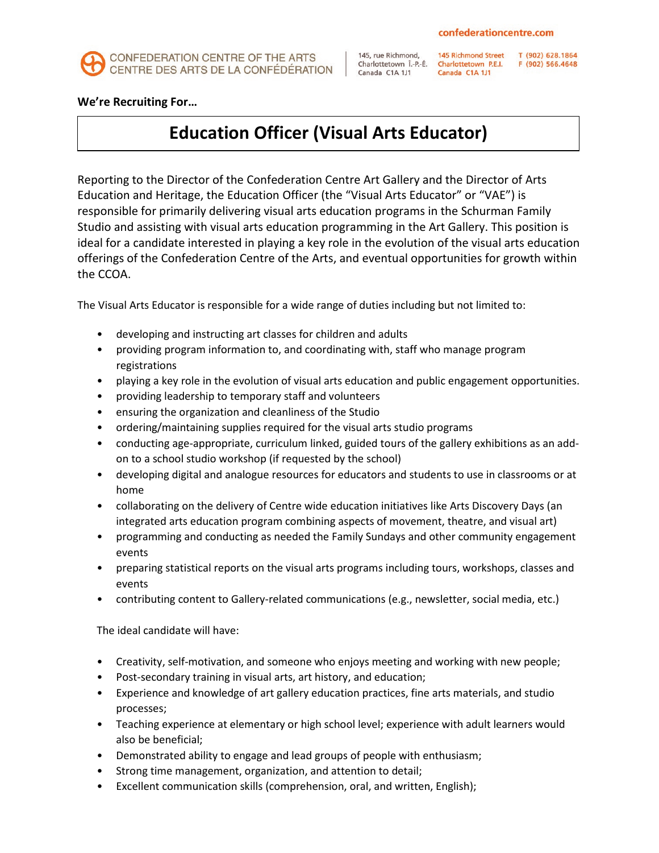

145, rue Richmond. Charlottetown Î-P-É Canada C1A 1J1

Canada C1A 1J1

145 Richmond Street T (902) 628.1864<br>Charlottetown P.E.I. F (902) 566.4648

**We're Recruiting For…** 

## **Education Officer (Visual Arts Educator)**

Reporting to the Director of the Confederation Centre Art Gallery and the Director of Arts Education and Heritage, the Education Officer (the "Visual Arts Educator" or "VAE") is responsible for primarily delivering visual arts education programs in the Schurman Family Studio and assisting with visual arts education programming in the Art Gallery. This position is ideal for a candidate interested in playing a key role in the evolution of the visual arts education offerings of the Confederation Centre of the Arts, and eventual opportunities for growth within the CCOA.

The Visual Arts Educator is responsible for a wide range of duties including but not limited to:

- developing and instructing art classes for children and adults
- providing program information to, and coordinating with, staff who manage program registrations
- playing a key role in the evolution of visual arts education and public engagement opportunities.
- providing leadership to temporary staff and volunteers
- ensuring the organization and cleanliness of the Studio
- ordering/maintaining supplies required for the visual arts studio programs
- conducting age-appropriate, curriculum linked, guided tours of the gallery exhibitions as an addon to a school studio workshop (if requested by the school)
- developing digital and analogue resources for educators and students to use in classrooms or at home
- collaborating on the delivery of Centre wide education initiatives like Arts Discovery Days (an integrated arts education program combining aspects of movement, theatre, and visual art)
- programming and conducting as needed the Family Sundays and other community engagement events
- preparing statistical reports on the visual arts programs including tours, workshops, classes and events
- contributing content to Gallery-related communications (e.g., newsletter, social media, etc.)

The ideal candidate will have:

- Creativity, self-motivation, and someone who enjoys meeting and working with new people;
- Post-secondary training in visual arts, art history, and education;
- Experience and knowledge of art gallery education practices, fine arts materials, and studio processes;
- Teaching experience at elementary or high school level; experience with adult learners would also be beneficial;
- Demonstrated ability to engage and lead groups of people with enthusiasm;
- Strong time management, organization, and attention to detail;
- Excellent communication skills (comprehension, oral, and written, English);